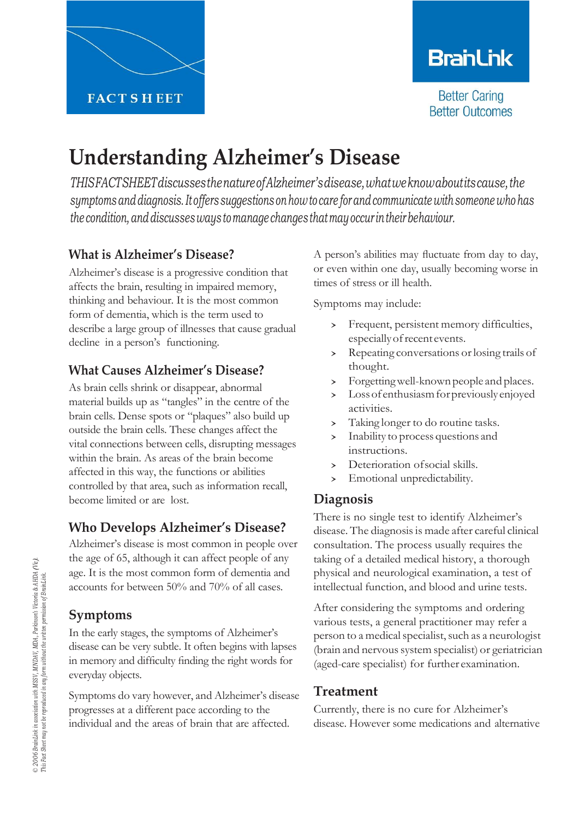## **BranLink**

**Better Caring Better Outcomes** 

# **Understanding Alzheimer's Disease**

*THISFACTSHEETdiscussesthenatureofAlzheimer'sdisease,whatweknowaboutitscause,the symptoms anddiagnosis.Itoffers suggestions on how to care forandcommunicate with someone who has the condition,anddiscussesways tomanage changes thatmay occur intheirbehaviour.*

## **What is Alzheimer's Disease?**

Alzheimer's disease is a progressive condition that affects the brain, resulting in impaired memory, thinking and behaviour. It is the most common form of dementia, which is the term used to describe a large group of illnesses that cause gradual decline in a person's functioning.

## **What Causes Alzheimer's Disease?**

As brain cells shrink or disappear, abnormal material builds up as "tangles" in the centre of the brain cells. Dense spots or "plaques" also build up outside the brain cells. These changes affect the vital connections between cells, disrupting messages within the brain. As areas of the brain become affected in this way, the functions or abilities controlled by that area, such as information recall, become limited or are lost.

## **Who Develops Alzheimer's Disease?**

Alzheimer's disease is most common in people over the age of 65, although it can affect people of any age. It is the most common form of dementia and accounts for between 50% and 70% of all cases.

#### **Symptoms**

In the early stages, the symptoms of Alzheimer's disease can be very subtle. It often begins with lapses in memory and difficulty finding the right words for everyday objects.

Symptoms do vary however, and Alzheimer's disease progresses at a different pace according to the individual and the areas of brain that are affected.

A person's abilities may fluctuate from day to day, or even within one day, usually becoming worse in times of stress or ill health.

Symptoms may include:

- › Frequent, persistent memory difficulties, especially of recent events.
- › Repeating conversations orlosing trails of thought.
- > Forgetting well-known people and places.<br>> Loss of enthusiasm for previously enjoyed
- Loss of enthusiasm for previously enjoyed activities.
- › Taking longer to do routine tasks.
- Inability to process questions and instructions.
- > Deterioration of social skills.<br>> Emotional unpredictability.
- Emotional unpredictability.

## **Diagnosis**

There is no single test to identify Alzheimer's disease. The diagnosis is made after careful clinical consultation. The process usually requires the taking of a detailed medical history, a thorough physical and neurological examination, a test of intellectual function, and blood and urine tests.

After considering the symptoms and ordering various tests, a general practitioner may refer a person to a medical specialist, such as a neurologist (brain and nervous system specialist) or geriatrician (aged-care specialist) for further examination.

## **Treatment**

Currently, there is no cure for Alzheimer's disease. However some medications and alternative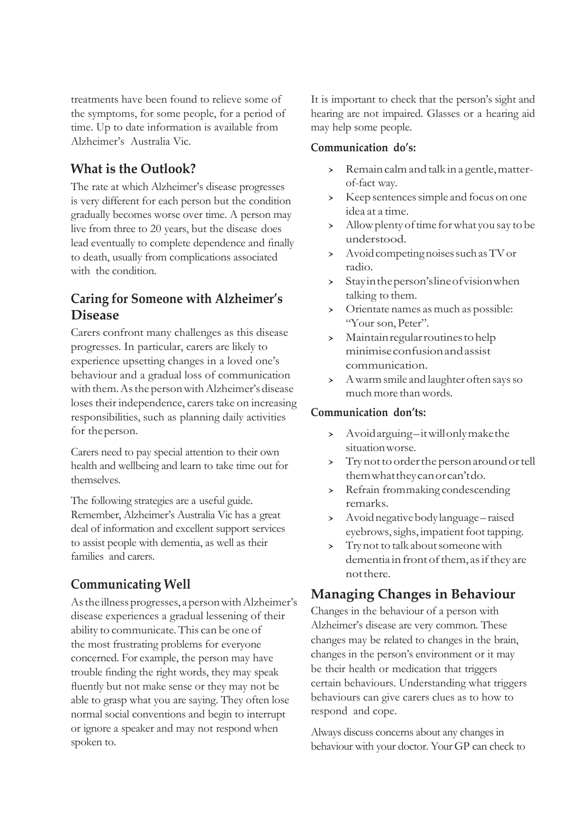treatments have been found to relieve some of the symptoms, for some people, for a period of time. Up to date information is available from Alzheimer's Australia Vic.

#### **What is the Outlook?**

The rate at which Alzheimer's disease progresses is very different for each person but the condition gradually becomes worse over time. A person may live from three to 20 years, but the disease does lead eventually to complete dependence and finally to death, usually from complications associated with the condition.

#### **Caring for Someone with Alzheimer's Disease**

Carers confront many challenges as this disease progresses. In particular, carers are likely to experience upsetting changes in a loved one's behaviour and a gradual loss of communication with them. As the person with Alzheimer's disease loses their independence, carers take on increasing responsibilities, such as planning daily activities for theperson.

Carers need to pay special attention to their own health and wellbeing and learn to take time out for themselves.

The following strategies are a useful guide. Remember, Alzheimer's Australia Vic has a great deal of information and excellent support services to assist people with dementia, as well as their families and carers.

## **Communicating Well**

As the illness progresses, a person with Alzheimer's disease experiences a gradual lessening of their ability to communicate. This can be one of the most frustrating problems for everyone concerned. For example, the person may have trouble finding the right words, they may speak fluently but not make sense or they may not be able to grasp what you are saying. They often lose normal social conventions and begin to interrupt or ignore a speaker and may not respond when spoken to.

It is important to check that the person's sight and hearing are not impaired. Glasses or a hearing aid may help some people.

#### **Communication do's:**

- Remain calm and talk in a gentle, matterof-fact way.
- > Keep sentences simple and focus on one idea at a time.
- > Allow plenty of time for what you say to be understood.
- > Avoid competing noises such as TV or radio.
- › Stayintheperson'slineofvisionwhen talking to them.
- › Orientate names as much as possible: "Your son, Peter".
- › Maintainregularroutinestohelp minimiseconfusionandassist communication.
- > A warm smile and laughter often says so much more thanwords.

#### **Communication don'ts:**

- › Avoidarguing–itwillonlymakethe situationworse.
- > Trynot to order the person around or tell themwhattheycanorcan'tdo.
- › Refrain frommaking condescending remarks.
- › Avoidnegativebodylanguage–raised eyebrows, sighs, impatient foot tapping.
- > Trynot to talk about someone with dementia in front of them, as if they are notthere.

## **Managing Changes in Behaviour**

Changes in the behaviour of a person with Alzheimer's disease are very common. These changes may be related to changes in the brain, changes in the person's environment or it may be their health or medication that triggers certain behaviours. Understanding what triggers behaviours can give carers clues as to how to respond and cope.

Always discuss concerns about any changes in behaviour with your doctor. Your GP can check to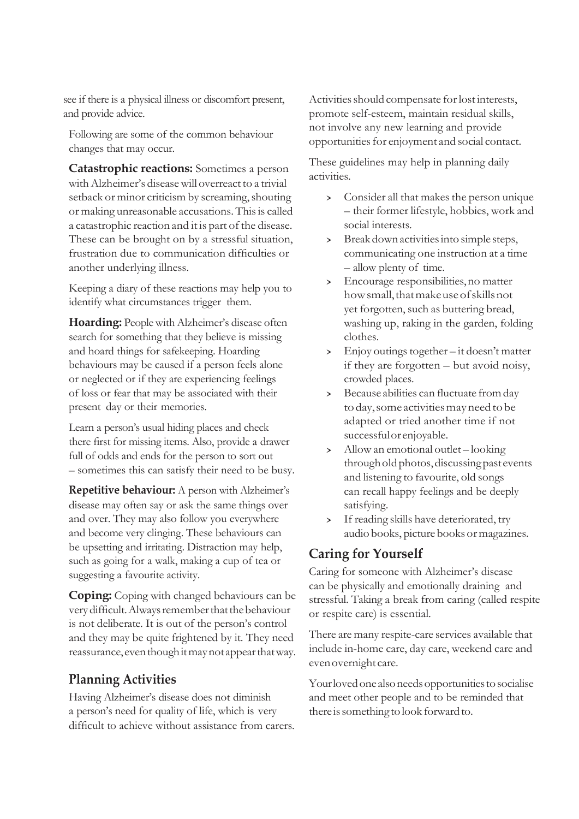see if there is a physical illness or discomfort present, and provide advice.

Following are some of the common behaviour changes that may occur.

**Catastrophic reactions:** Sometimes a person withAlzheimer's diseasewill overreact to a trivial setback or minor criticism by screaming, shouting or making unreasonable accusations. Thisis called a catastrophic reaction and it is part of the disease. These can be brought on by a stressful situation, frustration due to communication difficulties or another underlying illness.

Keeping a diary of these reactions may help you to identify what circumstances trigger them.

**Hoarding:** Peoplewith Alzheimer's disease often search for something that they believe is missing and hoard things for safekeeping. Hoarding behaviours may be caused if a person feels alone or neglected or if they are experiencing feelings of loss or fear that may be associated with their present day or their memories.

Learn a person's usual hiding places and check there first for missing items. Also, provide a drawer full of odds and ends for the person to sort out – sometimes this can satisfy their need to be busy.

**Repetitive behaviour:** A person with Alzheimer's disease may often say or ask the same things over and over. They may also follow you everywhere and become very clinging. These behaviours can be upsetting and irritating. Distraction may help, such as going for a walk, making a cup of tea or suggesting a favourite activity.

**Coping:** Coping with changed behaviours can be very difficult. Always remember that the behaviour is not deliberate. It is out of the person's control and they may be quite frightened by it. They need reassurance, even though it may not appear that way.

#### **Planning Activities**

Having Alzheimer's disease does not diminish a person's need for quality of life, which is very difficult to achieve without assistance from carers. Activities should compensate for lost interests, promote self-esteem, maintain residual skills, not involve any new learning and provide opportunities for enjoyment and social contact.

These guidelines may help in planning daily activities.

- > Consider all that makes the person unique – their former lifestyle, hobbies, work and social interests.
- › Break down activitiesinto simple steps, communicating one instruction at a time – allow plenty of time.
- › Encourage responsibilities,no matter how small, that make use of skills not yet forgotten, such as buttering bread, washing up, raking in the garden, folding clothes.
- $\frac{\text{P}}{\text{P}}$  Enjoy outings together it doesn't matter if they are forgotten – but avoid noisy, crowded places.
- › Because abilities can fluctuate fromday to day, some activities may need to be adapted or tried another time if not successfulorenjoyable.
- › Allow an emotional outlet looking through old photos, discussing past events and listening to favourite, old songs can recall happy feelings and be deeply satisfying.
- › If reading skills have deteriorated, try audio books, picture books or magazines.

#### **Caring for Yourself**

Caring for someone with Alzheimer's disease can be physically and emotionally draining and stressful. Taking a break from caring (called respite or respite care) is essential.

There are many respite-care services available that include in-home care, day care, weekend care and evenovernight care.

Your loved one also needs opportunities to socialise and meet other people and to be reminded that there is something to look forward to.